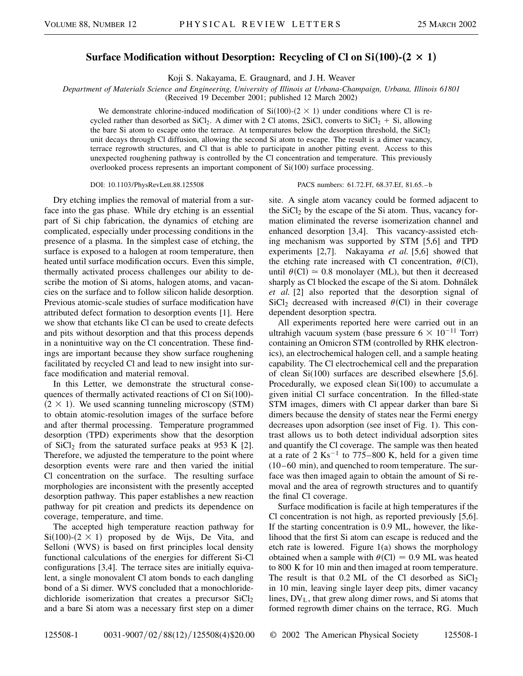## **Surface Modification without Desorption: Recycling of Cl on Si100**-**-2** 3 **1**-

Koji S. Nakayama, E. Graugnard, and J. H. Weaver

*Department of Materials Science and Engineering, University of Illinois at Urbana-Champaign, Urbana, Illinois 61801*

(Received 19 December 2001; published 12 March 2002)

We demonstrate chlorine-induced modification of  $Si(100)$ - $(2 \times 1)$  under conditions where Cl is recycled rather than desorbed as  $SiCl<sub>2</sub>$ . A dimer with 2 Cl atoms, 2SiCl, converts to  $SiCl<sub>2</sub> + Si$ , allowing the bare Si atom to escape onto the terrace. At temperatures below the desorption threshold, the  $SiCl<sub>2</sub>$ unit decays through Cl diffusion, allowing the second Si atom to escape. The result is a dimer vacancy, terrace regrowth structures, and Cl that is able to participate in another pitting event. Access to this unexpected roughening pathway is controlled by the Cl concentration and temperature. This previously overlooked process represents an important component of Si(100) surface processing.

## DOI: 10.1103/PhysRevLett.88.125508 PACS numbers: 61.72.Ff, 68.37.Ef, 81.65.–b

Dry etching implies the removal of material from a surface into the gas phase. While dry etching is an essential part of Si chip fabrication, the dynamics of etching are complicated, especially under processing conditions in the presence of a plasma. In the simplest case of etching, the surface is exposed to a halogen at room temperature, then heated until surface modification occurs. Even this simple, thermally activated process challenges our ability to describe the motion of Si atoms, halogen atoms, and vacancies on the surface and to follow silicon halide desorption. Previous atomic-scale studies of surface modification have attributed defect formation to desorption events [1]. Here we show that etchants like Cl can be used to create defects and pits without desorption and that this process depends in a nonintuitive way on the Cl concentration. These findings are important because they show surface roughening facilitated by recycled Cl and lead to new insight into surface modification and material removal.

In this Letter, we demonstrate the structural consequences of thermally activated reactions of  $Cl$  on  $Si(100)$ - $(2 \times 1)$ . We used scanning tunneling microscopy (STM) to obtain atomic-resolution images of the surface before and after thermal processing. Temperature programmed desorption (TPD) experiments show that the desorption of  $SiCl<sub>2</sub>$  from the saturated surface peaks at 953 K [2]. Therefore, we adjusted the temperature to the point where desorption events were rare and then varied the initial Cl concentration on the surface. The resulting surface morphologies are inconsistent with the presently accepted desorption pathway. This paper establishes a new reaction pathway for pit creation and predicts its dependence on coverage, temperature, and time.

The accepted high temperature reaction pathway for  $Si(100)-(2 \times 1)$  proposed by de Wijs, De Vita, and Selloni (WVS) is based on first principles local density functional calculations of the energies for different Si-Cl configurations [3,4]. The terrace sites are initially equivalent, a single monovalent Cl atom bonds to each dangling bond of a Si dimer. WVS concluded that a monochloridedichloride isomerization that creates a precursor SiCl<sub>2</sub> and a bare Si atom was a necessary first step on a dimer site. A single atom vacancy could be formed adjacent to the  $SiCl<sub>2</sub>$  by the escape of the Si atom. Thus, vacancy formation eliminated the reverse isomerization channel and enhanced desorption [3,4]. This vacancy-assisted etching mechanism was supported by STM [5,6] and TPD experiments [2,7]. Nakayama *et al.* [5,6] showed that the etching rate increased with Cl concentration,  $\theta$ (Cl), until  $\theta$ (Cl)  $\approx$  0.8 monolayer (ML), but then it decreased sharply as Cl blocked the escape of the Si atom. Dohnálek *et al.* [2] also reported that the desorption signal of SiCl<sub>2</sub> decreased with increased  $\theta$ (Cl) in their coverage dependent desorption spectra.

All experiments reported here were carried out in an ultrahigh vacuum system (base pressure  $6 \times 10^{-11}$  Torr) containing an Omicron STM (controlled by RHK electronics), an electrochemical halogen cell, and a sample heating capability. The Cl electrochemical cell and the preparation of clean Si(100) surfaces are described elsewhere [5,6]. Procedurally, we exposed clean Si(100) to accumulate a given initial Cl surface concentration. In the filled-state STM images, dimers with Cl appear darker than bare Si dimers because the density of states near the Fermi energy decreases upon adsorption (see inset of Fig. 1). This contrast allows us to both detect individual adsorption sites and quantify the Cl coverage. The sample was then heated at a rate of 2  $\text{Ks}^{-1}$  to 775–800 K, held for a given time (10–60 min), and quenched to room temperature. The surface was then imaged again to obtain the amount of Si removal and the area of regrowth structures and to quantify the final Cl coverage.

Surface modification is facile at high temperatures if the Cl concentration is not high, as reported previously [5,6]. If the starting concentration is 0.9 ML, however, the likelihood that the first Si atom can escape is reduced and the etch rate is lowered. Figure 1(a) shows the morphology obtained when a sample with  $\theta$ (Cl) = 0.9 ML was heated to 800 K for 10 min and then imaged at room temperature. The result is that 0.2 ML of the Cl desorbed as  $SiCl<sub>2</sub>$ in 10 min, leaving single layer deep pits, dimer vacancy lines,  $DV<sub>L</sub>$ , that grew along dimer rows, and Si atoms that formed regrowth dimer chains on the terrace, RG. Much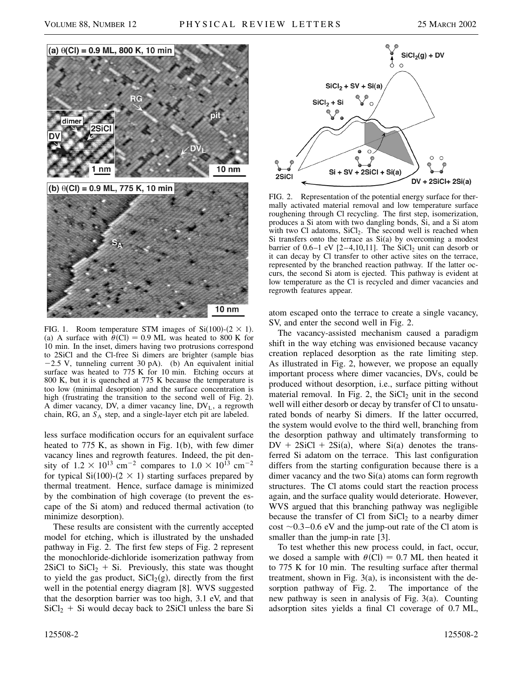

FIG. 1. Room temperature STM images of  $Si(100)$ - $(2 \times 1)$ . (a) A surface with  $\theta$ (Cl) = 0.9 ML was heated to 800 K for 10 min. In the inset, dimers having two protrusions correspond to 2SiCl and the Cl-free Si dimers are brighter (sample bias  $-2.5$  V, tunneling current 30 pA). (b) An equivalent initial surface was heated to 775 K for 10 min. Etching occurs at 800 K, but it is quenched at 775 K because the temperature is too low (minimal desorption) and the surface concentration is high (frustrating the transition to the second well of Fig. 2). A dimer vacancy, DV, a dimer vacancy line,  $DV<sub>L</sub>$ , a regrowth chain, RG, an  $S_A$  step, and a single-layer etch pit are labeled.

less surface modification occurs for an equivalent surface heated to 775 K, as shown in Fig. 1(b), with few dimer vacancy lines and regrowth features. Indeed, the pit density of  $1.2 \times 10^{13}$  cm<sup>-2</sup> compares to  $1.0 \times 10^{13}$  cm<sup>-2</sup> for typical Si(100)-(2  $\times$  1) starting surfaces prepared by thermal treatment. Hence, surface damage is minimized by the combination of high coverage (to prevent the escape of the Si atom) and reduced thermal activation (to minimize desorption).

These results are consistent with the currently accepted model for etching, which is illustrated by the unshaded pathway in Fig. 2. The first few steps of Fig. 2 represent the monochloride-dichloride isomerization pathway from 2SiCl to  $SiCl<sub>2</sub> + Si.$  Previously, this state was thought to yield the gas product,  $SiCl<sub>2</sub>(g)$ , directly from the first well in the potential energy diagram [8]. WVS suggested that the desorption barrier was too high, 3.1 eV, and that  $SiCl<sub>2</sub> + Si$  would decay back to 2SiCl unless the bare Si



FIG. 2. Representation of the potential energy surface for thermally activated material removal and low temperature surface roughening through Cl recycling. The first step, isomerization, produces a Si atom with two dangling bonds, Si, and a Si atom with two Cl adatoms,  $SiCl<sub>2</sub>$ . The second well is reached when Si transfers onto the terrace as  $Si(a)$  by overcoming a modest barrier of  $0.6-1$  eV  $[2-4,10,11]$ . The SiCl<sub>2</sub> unit can desorb or it can decay by Cl transfer to other active sites on the terrace, represented by the branched reaction pathway. If the latter occurs, the second Si atom is ejected. This pathway is evident at low temperature as the Cl is recycled and dimer vacancies and regrowth features appear.

atom escaped onto the terrace to create a single vacancy, SV, and enter the second well in Fig. 2.

The vacancy-assisted mechanism caused a paradigm shift in the way etching was envisioned because vacancy creation replaced desorption as the rate limiting step. As illustrated in Fig. 2, however, we propose an equally important process where dimer vacancies, DVs, could be produced without desorption, i.e., surface pitting without material removal. In Fig. 2, the  $SiCl<sub>2</sub>$  unit in the second well will either desorb or decay by transfer of Cl to unsaturated bonds of nearby Si dimers. If the latter occurred, the system would evolve to the third well, branching from the desorption pathway and ultimately transforming to  $DV + 2SiCl + 2Si(a)$ , where  $Si(a)$  denotes the transferred Si adatom on the terrace. This last configuration differs from the starting configuration because there is a dimer vacancy and the two Si(a) atoms can form regrowth structures. The Cl atoms could start the reaction process again, and the surface quality would deteriorate. However, WVS argued that this branching pathway was negligible because the transfer of Cl from  $SiCl<sub>2</sub>$  to a nearby dimer cost  $\sim$  0.3–0.6 eV and the jump-out rate of the Cl atom is smaller than the jump-in rate [3].

To test whether this new process could, in fact, occur, we dosed a sample with  $\theta$ (Cl) = 0.7 ML then heated it to 775 K for 10 min. The resulting surface after thermal treatment, shown in Fig. 3(a), is inconsistent with the desorption pathway of Fig. 2. The importance of the new pathway is seen in analysis of Fig. 3(a). Counting adsorption sites yields a final Cl coverage of 0.7 ML,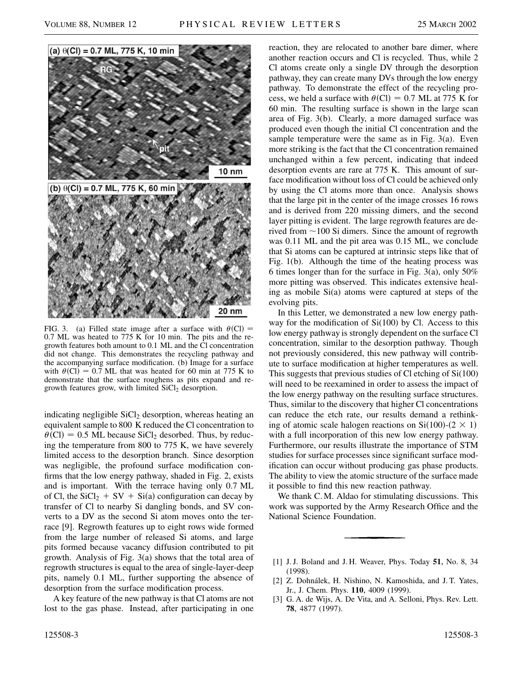

FIG. 3. (a) Filled state image after a surface with  $\theta$ (Cl) = 0.7 ML was heated to 775 K for 10 min. The pits and the regrowth features both amount to 0.1 ML and the Cl concentration did not change. This demonstrates the recycling pathway and the accompanying surface modification. (b) Image for a surface with  $\theta$ (Cl) = 0.7 ML that was heated for 60 min at 775 K to demonstrate that the surface roughens as pits expand and regrowth features grow, with limited  $SiCl<sub>2</sub>$  desorption.

indicating negligible  $SiCl<sub>2</sub>$  desorption, whereas heating an equivalent sample to 800 K reduced the Cl concentration to  $\theta$ (Cl) = 0.5 ML because SiCl<sub>2</sub> desorbed. Thus, by reducing the temperature from 800 to 775 K, we have severely limited access to the desorption branch. Since desorption was negligible, the profound surface modification confirms that the low energy pathway, shaded in Fig. 2, exists and is important. With the terrace having only 0.7 ML of Cl, the  $SiCl_2 + SV + Si(a)$  configuration can decay by transfer of Cl to nearby Si dangling bonds, and SV converts to a DV as the second Si atom moves onto the terrace [9]. Regrowth features up to eight rows wide formed from the large number of released Si atoms, and large pits formed because vacancy diffusion contributed to pit growth. Analysis of Fig. 3(a) shows that the total area of regrowth structures is equal to the area of single-layer-deep pits, namely 0.1 ML, further supporting the absence of desorption from the surface modification process.

A key feature of the new pathway is that Cl atoms are not lost to the gas phase. Instead, after participating in one reaction, they are relocated to another bare dimer, where another reaction occurs and Cl is recycled. Thus, while 2 Cl atoms create only a single DV through the desorption pathway, they can create many DVs through the low energy pathway. To demonstrate the effect of the recycling process, we held a surface with  $\theta$ (Cl) = 0.7 ML at 775 K for 60 min. The resulting surface is shown in the large scan area of Fig. 3(b). Clearly, a more damaged surface was produced even though the initial Cl concentration and the sample temperature were the same as in Fig. 3(a). Even more striking is the fact that the Cl concentration remained unchanged within a few percent, indicating that indeed desorption events are rare at 775 K. This amount of surface modification without loss of Cl could be achieved only by using the Cl atoms more than once. Analysis shows that the large pit in the center of the image crosses 16 rows and is derived from 220 missing dimers, and the second layer pitting is evident. The large regrowth features are derived from  $\sim$  100 Si dimers. Since the amount of regrowth was 0.11 ML and the pit area was 0.15 ML, we conclude that Si atoms can be captured at intrinsic steps like that of Fig. 1(b). Although the time of the heating process was 6 times longer than for the surface in Fig. 3(a), only 50% more pitting was observed. This indicates extensive healing as mobile Si(a) atoms were captured at steps of the evolving pits.

In this Letter, we demonstrated a new low energy pathway for the modification of  $Si(100)$  by Cl. Access to this low energy pathway is strongly dependent on the surface Cl concentration, similar to the desorption pathway. Though not previously considered, this new pathway will contribute to surface modification at higher temperatures as well. This suggests that previous studies of Cl etching of Si(100) will need to be reexamined in order to assess the impact of the low energy pathway on the resulting surface structures. Thus, similar to the discovery that higher Cl concentrations can reduce the etch rate, our results demand a rethinking of atomic scale halogen reactions on  $Si(100)-(2 \times 1)$ with a full incorporation of this new low energy pathway. Furthermore, our results illustrate the importance of STM studies for surface processes since significant surface modification can occur without producing gas phase products. The ability to view the atomic structure of the surface made it possible to find this new reaction pathway.

We thank C. M. Aldao for stimulating discussions. This work was supported by the Army Research Office and the National Science Foundation.

- [1] J. J. Boland and J. H. Weaver, Phys. Today **51**, No. 8, 34 (1998).
- [2] Z. Dohnálek, H. Nishino, N. Kamoshida, and J. T. Yates, Jr., J. Chem. Phys. **110**, 4009 (1999).
- [3] G. A. de Wijs, A. De Vita, and A. Selloni, Phys. Rev. Lett. **78**, 4877 (1997).